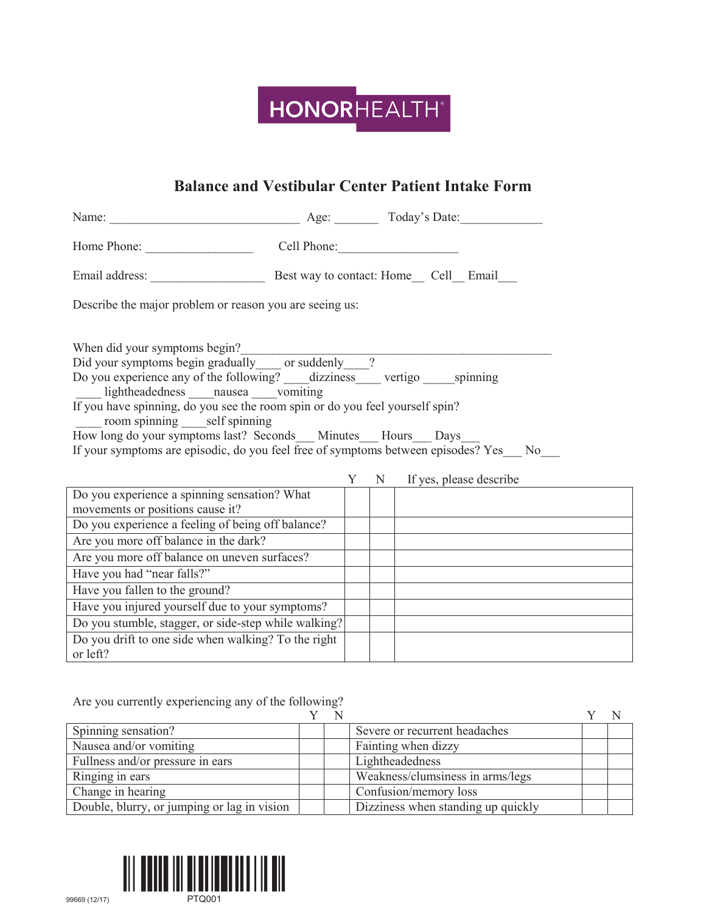

## **Balance and Vestibular Center Patient Intake Form**

| Name: <u>Name:</u> Age: <u>Age: Today's Date:</u>                                                                                                                                                                                                                                                                                                                                                                                                                                                     |   |                           |  |
|-------------------------------------------------------------------------------------------------------------------------------------------------------------------------------------------------------------------------------------------------------------------------------------------------------------------------------------------------------------------------------------------------------------------------------------------------------------------------------------------------------|---|---------------------------|--|
| Home Phone: Cell Phone: Cell Phone:                                                                                                                                                                                                                                                                                                                                                                                                                                                                   |   |                           |  |
|                                                                                                                                                                                                                                                                                                                                                                                                                                                                                                       |   |                           |  |
| Describe the major problem or reason you are seeing us:                                                                                                                                                                                                                                                                                                                                                                                                                                               |   |                           |  |
| When did your symptoms begin?<br>Did your symptoms begin gradually ______ or suddenly _____?<br>Do you experience any of the following? ______ dizziness ______ vertigo ______ spinning<br>lightheadedness nausea vomiting<br>If you have spinning, do you see the room spin or do you feel yourself spin?<br>room spinning self spinning<br>How long do your symptoms last? Seconds Minutes Hours Days<br>If your symptoms are episodic, do you feel free of symptoms between episodes? Yes___ No___ |   |                           |  |
| Do you experience a spinning sensation? What                                                                                                                                                                                                                                                                                                                                                                                                                                                          | Y | N If yes, please describe |  |
| movements or positions cause it?                                                                                                                                                                                                                                                                                                                                                                                                                                                                      |   |                           |  |
| Do you experience a feeling of being off balance?                                                                                                                                                                                                                                                                                                                                                                                                                                                     |   |                           |  |
| Are you more off balance in the dark?                                                                                                                                                                                                                                                                                                                                                                                                                                                                 |   |                           |  |
| Are you more off balance on uneven surfaces?                                                                                                                                                                                                                                                                                                                                                                                                                                                          |   |                           |  |
| Have you had "near falls?"                                                                                                                                                                                                                                                                                                                                                                                                                                                                            |   |                           |  |
| Have you fallen to the ground?                                                                                                                                                                                                                                                                                                                                                                                                                                                                        |   |                           |  |
| Have you injured yourself due to your symptoms?                                                                                                                                                                                                                                                                                                                                                                                                                                                       |   |                           |  |
| Do you stumble, stagger, or side-step while walking?                                                                                                                                                                                                                                                                                                                                                                                                                                                  |   |                           |  |
| Do you drift to one side when walking? To the right<br>or left?                                                                                                                                                                                                                                                                                                                                                                                                                                       |   |                           |  |

Are you currently experiencing any of the following?

| Spinning sensation?                         |  | Severe or recurrent headaches      |  |
|---------------------------------------------|--|------------------------------------|--|
| Nausea and/or vomiting                      |  | Fainting when dizzy                |  |
| Fullness and/or pressure in ears            |  | Lightheadedness                    |  |
| Ringing in ears                             |  | Weakness/clumsiness in arms/legs   |  |
| Change in hearing                           |  | Confusion/memory loss              |  |
| Double, blurry, or jumping or lag in vision |  | Dizziness when standing up quickly |  |